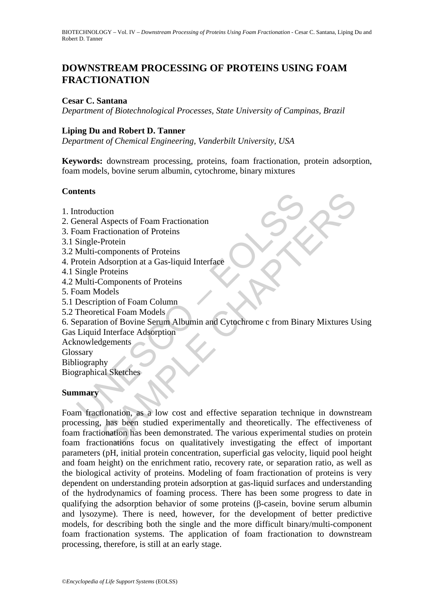# **DOWNSTREAM PROCESSING OF PROTEINS USING FOAM FRACTIONATION**

#### **Cesar C. Santana**

*Department of Biotechnological Processes, State University of Campinas, Brazil* 

#### **Liping Du and Robert D. Tanner**

*Department of Chemical Engineering, Vanderbilt University, USA* 

**Keywords:** downstream processing, proteins, foam fractionation, protein adsorption, foam models, bovine serum albumin, cytochrome, binary mixtures

#### **Contents**

- 1. Introduction
- 2. General Aspects of Foam Fractionation
- 3. Foam Fractionation of Proteins
- 3.1 Single-Protein
- 3.2 Multi-components of Proteins
- 4. Protein Adsorption at a Gas-liquid Interface
- 4.1 Single Proteins
- 4.2 Multi-Components of Proteins
- 5. Foam Models
- 5.1 Description of Foam Column
- 5.2 Theoretical Foam Models

6. Separation of Bovine Serum Albumin and Cytochrome c from Binary Mixtures Using

Gas Liquid Interface Adsorption

Acknowledgements

Glossary

Bibliography Biographical Sketches

#### **Summary**

ntroduction<br>
introduction<br>
introduction<br>
Single-Protein<br>
Multi-components of Proteins<br>
Multi-Components of Proteins<br>
Multi-Components of Proteins<br>
Single Proteins<br>
Multi-Components of Proteins<br>
Multi-Components of Proteins tion<br>
Aspects of Foam Fractionation<br>
actionation of Proteins<br>
Protein<br>
Proteins<br>
Proteins<br>
Components of Proteins<br>
Components of Proteins<br>
Components of Proteins<br>
Components of Proteins<br>
odels<br>
union of Bowin Serum Albumin Foam fractionation, as a low cost and effective separation technique in downstream processing, has been studied experimentally and theoretically. The effectiveness of foam fractionation has been demonstrated. The various experimental studies on protein foam fractionations focus on qualitatively investigating the effect of important parameters (pH, initial protein concentration, superficial gas velocity, liquid pool height and foam height) on the enrichment ratio, recovery rate, or separation ratio, as well as the biological activity of proteins. Modeling of foam fractionation of proteins is very dependent on understanding protein adsorption at gas-liquid surfaces and understanding of the hydrodynamics of foaming process. There has been some progress to date in qualifying the adsorption behavior of some proteins (β-casein, bovine serum albumin and lysozyme). There is need, however, for the development of better predictive models, for describing both the single and the more difficult binary/multi-component foam fractionation systems. The application of foam fractionation to downstream processing, therefore, is still at an early stage.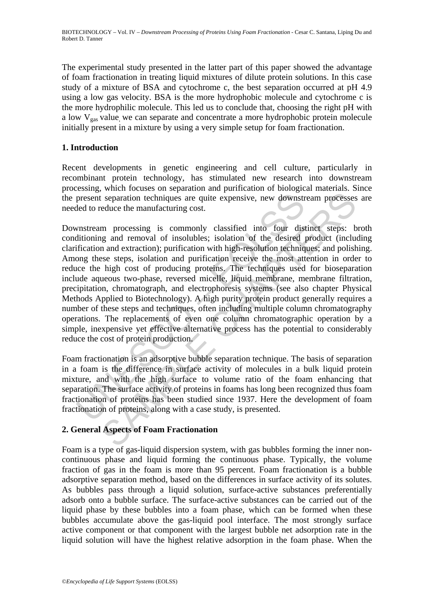The experimental study presented in the latter part of this paper showed the advantage of foam fractionation in treating liquid mixtures of dilute protein solutions. In this case study of a mixture of BSA and cytochrome c, the best separation occurred at pH 4.9 using a low gas velocity. BSA is the more hydrophobic molecule and cytochrome c is the more hydrophilic molecule. This led us to conclude that, choosing the right pH with a low  $V_{gas}$  value, we can separate and concentrate a more hydrophobic protein molecule initially present in a mixture by using a very simple setup for foam fractionation.

## **1. Introduction**

Recent developments in genetic engineering and cell culture, particularly in recombinant protein technology, has stimulated new research into downstream processing, which focuses on separation and purification of biological materials. Since the present separation techniques are quite expensive, new downstream processes are needed to reduce the manufacturing cost.

present separation techniques are quite expensive, new downstred to reduce the manufacturing cost.<br>
wnstream processing is commonly classified into four distinuitioning and removal of insolubles; isolation of the desired d separation techniques are quite expensive, new downstream processes<br>seduce the manufacturing cost.<br>In processing is commonly classified into four distinct steps: by<br>a and removal of insolubles; isolation of the desired pro Downstream processing is commonly classified into four distinct steps: broth conditioning and removal of insolubles; isolation of the desired product (including clarification and extraction); purification with high-resolution techniques; and polishing. Among these steps, isolation and purification receive the most attention in order to reduce the high cost of producing proteins. The techniques used for bioseparation include aqueous two-phase, reversed micelle, liquid membrane, membrane filtration, precipitation, chromatograph, and electrophoresis systems (see also chapter Physical Methods Applied to Biotechnology). A high purity protein product generally requires a number of these steps and techniques, often including multiple column chromatography operations. The replacements of even one column chromatographic operation by a simple, inexpensive yet effective alternative process has the potential to considerably reduce the cost of protein production.

Foam fractionation is an adsorptive bubble separation technique. The basis of separation in a foam is the difference in surface activity of molecules in a bulk liquid protein mixture, and with the high surface to volume ratio of the foam enhancing that separation. The surface activity of proteins in foams has long been recognized thus foam fractionation of proteins has been studied since 1937. Here the development of foam fractionation of proteins, along with a case study, is presented.

### **2. General Aspects of Foam Fractionation**

Foam is a type of gas-liquid dispersion system, with gas bubbles forming the inner noncontinuous phase and liquid forming the continuous phase. Typically, the volume fraction of gas in the foam is more than 95 percent. Foam fractionation is a bubble adsorptive separation method, based on the differences in surface activity of its solutes. As bubbles pass through a liquid solution, surface-active substances preferentially adsorb onto a bubble surface. The surface-active substances can be carried out of the liquid phase by these bubbles into a foam phase, which can be formed when these bubbles accumulate above the gas-liquid pool interface. The most strongly surface active component or that component with the largest bubble net adsorption rate in the liquid solution will have the highest relative adsorption in the foam phase. When the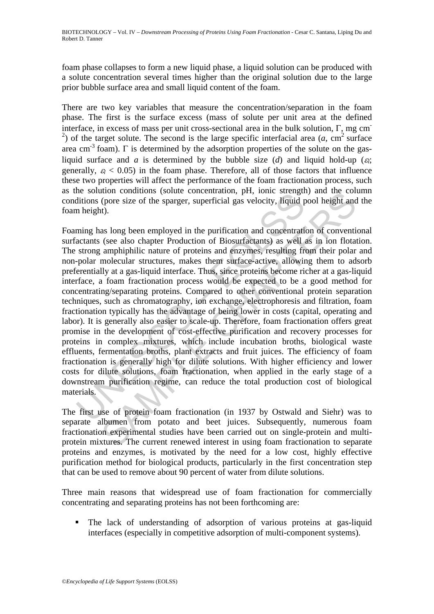foam phase collapses to form a new liquid phase, a liquid solution can be produced with a solute concentration several times higher than the original solution due to the large prior bubble surface area and small liquid content of the foam.

There are two key variables that measure the concentration/separation in the foam phase. The first is the surface excess (mass of solute per unit area at the defined interface, in excess of mass per unit cross-sectional area in the bulk solution, Γ, mg cm-<sup>2</sup>) of the target solute. The second is the large specific interfacial area  $(a, cm<sup>2</sup>$  surface area cm<sup>-3</sup> foam).  $\Gamma$  is determined by the adsorption properties of the solute on the gasliquid surface and *a* is determined by the bubble size (*d*) and liquid hold-up ( $\varepsilon$ ); generally,  $\varepsilon_l$  < 0.05) in the foam phase. Therefore, all of those factors that influence these two properties will affect the performance of the foam fractionation process, such as the solution conditions (solute concentration, pH, ionic strength) and the column conditions (pore size of the sparger, superficial gas velocity, liquid pool height and the foam height).

Income conductions (solid concentration, pri, tome stering<br>ditions (pore size of the sparger, superficial gas velocity, Ifquid p<br>ming has long been employed in the purification and concentration<br>actants (see also chapter P Transmitter (professional contention, principal and the contention of correctize (professize of the sparger, superficial gas velocity, higuid pool height and (see also chapter Production of Biosurfactants) as well as in io Foaming has long been employed in the purification and concentration of conventional surfactants (see also chapter Production of Biosurfactants) as well as in ion flotation. The strong amphiphilic nature of proteins and enzymes, resulting from their polar and non-polar molecular structures, makes them surface-active, allowing them to adsorb preferentially at a gas-liquid interface. Thus, since proteins become richer at a gas-liquid interface, a foam fractionation process would be expected to be a good method for concentrating/separating proteins. Compared to other conventional protein separation techniques, such as chromatography, ion exchange, electrophoresis and filtration, foam fractionation typically has the advantage of being lower in costs (capital, operating and labor). It is generally also easier to scale-up. Therefore, foam fractionation offers great promise in the development of cost-effective purification and recovery processes for proteins in complex mixtures, which include incubation broths, biological waste effluents, fermentation broths, plant extracts and fruit juices. The efficiency of foam fractionation is generally high for dilute solutions. With higher efficiency and lower costs for dilute solutions, foam fractionation, when applied in the early stage of a downstream purification regime, can reduce the total production cost of biological materials.

The first use of protein foam fractionation (in 1937 by Ostwald and Siehr) was to separate albumen from potato and beet juices. Subsequently, numerous foam fractionation experimental studies have been carried out on single-protein and multiprotein mixtures. The current renewed interest in using foam fractionation to separate proteins and enzymes, is motivated by the need for a low cost, highly effective purification method for biological products, particularly in the first concentration step that can be used to remove about 90 percent of water from dilute solutions.

Three main reasons that widespread use of foam fractionation for commercially concentrating and separating proteins has not been forthcoming are:

 The lack of understanding of adsorption of various proteins at gas-liquid interfaces (especially in competitive adsorption of multi-component systems).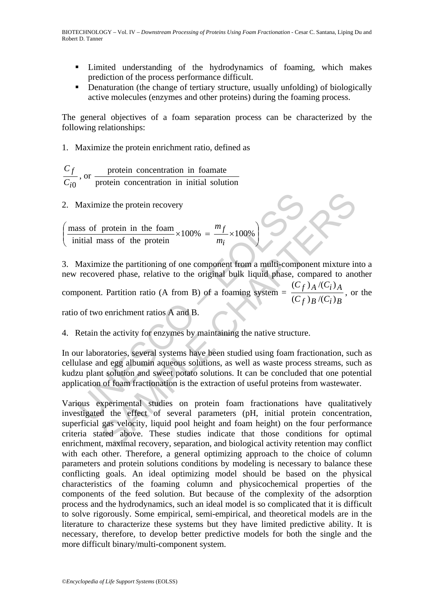- Limited understanding of the hydrodynamics of foaming, which makes prediction of the process performance difficult.
- Denaturation (the change of tertiary structure, usually unfolding) of biologically active molecules (enzymes and other proteins) during the foaming process.

The general objectives of a foam separation process can be characterized by the following relationships:

1. Maximize the protein enrichment ratio, defined as

*i*0 *f C C* , or protein concentration in initial solution protein concentration in foamate

2. Maximize the protein recovery

 $\overline{\phantom{a}}$ ⎠ ⎞  $\begin{bmatrix} \phantom{-} \end{bmatrix}$ ⎝  $\sqrt{}$  $\times100\% = \frac{J}{\sqrt{100\%}}$ initial mass of the protein mass of protein in the foam *i f m*  $\frac{m_f}{\sim} \times 100\%$ 

Maximize the protein recovery<br>
ass of protein in the foam  $\times 100\% = \frac{m_f}{m_i} \times 100\%$ <br>
initial mass of the protein  $\times 100\% = \frac{m_f}{m_i} \times 100\%$ <br>
Maximize the partitioning of one component from a multi-component.<br>
Polynom ize the protein recovery<br>
protein in the foam<br>
mass of the protein  $\times 100\% = \frac{m_f}{m_i} \times 100\%$ <br>
ize the partitioning of one component from a multi-component mixture ir<br>
rered phase, relative to the original bulk liquid p 3. Maximize the partitioning of one component from a multi-component mixture into a new recovered phase, relative to the original bulk liquid phase, compared to another component. Partition ratio (A from B) of a foaming system  $=$  $f$  )  $B$   $\prime$   $(C_i)$   $B$  $f$  )  $A$   $\prime$   $C_i$   $A$  $(C_f)_B$ / $(C$  $(C_f)$  *A* /(*C*  $(C_f)_{B}/(C_i)$  $\frac{(C_f)_{A}/(C_i)_{A}}{(C_i)_{i}+(C_i)_{i}}$ , or the ratio of two enrichment ratios A and B.

4. Retain the activity for enzymes by maintaining the native structure.

In our laboratories, several systems have been studied using foam fractionation, such as cellulase and egg albumin aqueous solutions, as well as waste process streams, such as kudzu plant solution and sweet potato solutions. It can be concluded that one potential application of foam fractionation is the extraction of useful proteins from wastewater.

Various experimental studies on protein foam fractionations have qualitatively investigated the effect of several parameters (pH, initial protein concentration, superficial gas velocity, liquid pool height and foam height) on the four performance criteria stated above. These studies indicate that those conditions for optimal enrichment, maximal recovery, separation, and biological activity retention may conflict with each other. Therefore, a general optimizing approach to the choice of column parameters and protein solutions conditions by modeling is necessary to balance these conflicting goals. An ideal optimizing model should be based on the physical characteristics of the foaming column and physicochemical properties of the components of the feed solution. But because of the complexity of the adsorption process and the hydrodynamics, such an ideal model is so complicated that it is difficult to solve rigorously. Some empirical, semi-empirical, and theoretical models are in the literature to characterize these systems but they have limited predictive ability. It is necessary, therefore, to develop better predictive models for both the single and the more difficult binary/multi-component system.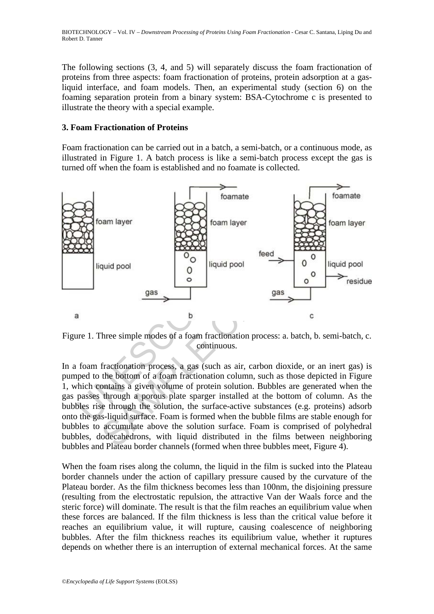The following sections (3, 4, and 5) will separately discuss the foam fractionation of proteins from three aspects: foam fractionation of proteins, protein adsorption at a gasliquid interface, and foam models. Then, an experimental study (section 6) on the foaming separation protein from a binary system: BSA-Cytochrome c is presented to illustrate the theory with a special example.

#### **3. Foam Fractionation of Proteins**

Foam fractionation can be carried out in a batch, a semi-batch, or a continuous mode, as illustrated in Figure 1. A batch process is like a semi-batch process except the gas is turned off when the foam is established and no foamate is collected.



Figure 1. Three simple modes of a foam fractionation process: a. batch, b. semi-batch, c. continuous.

In a foam fractionation process, a gas (such as air, carbon dioxide, or an inert gas) is pumped to the bottom of a foam fractionation column, such as those depicted in Figure 1, which contains a given volume of protein solution. Bubbles are generated when the gas passes through a porous plate sparger installed at the bottom of column. As the bubbles rise through the solution, the surface-active substances (e.g. proteins) adsorb onto the gas-liquid surface. Foam is formed when the bubble films are stable enough for bubbles to accumulate above the solution surface. Foam is comprised of polyhedral bubbles, dodecahedrons, with liquid distributed in the films between neighboring bubbles and Plateau border channels (formed when three bubbles meet, Figure 4).

When the foam rises along the column, the liquid in the film is sucked into the Plateau border channels under the action of capillary pressure caused by the curvature of the Plateau border. As the film thickness becomes less than 100nm, the disjoining pressure (resulting from the electrostatic repulsion, the attractive Van der Waals force and the steric force) will dominate. The result is that the film reaches an equilibrium value when these forces are balanced. If the film thickness is less than the critical value before it reaches an equilibrium value, it will rupture, causing coalescence of neighboring bubbles. After the film thickness reaches its equilibrium value, whether it ruptures depends on whether there is an interruption of external mechanical forces. At the same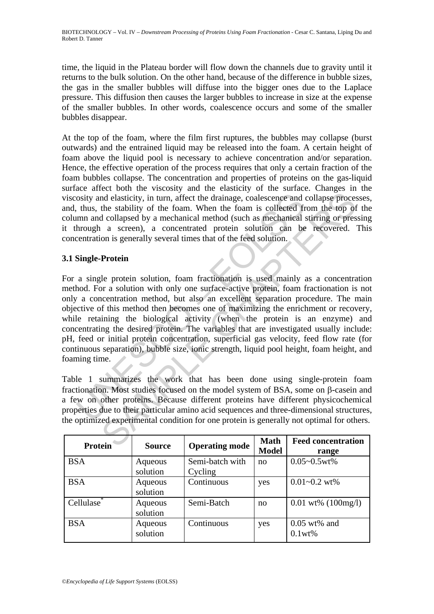time, the liquid in the Plateau border will flow down the channels due to gravity until it returns to the bulk solution. On the other hand, because of the difference in bubble sizes, the gas in the smaller bubbles will diffuse into the bigger ones due to the Laplace pressure. This diffusion then causes the larger bubbles to increase in size at the expense of the smaller bubbles. In other words, coalescence occurs and some of the smaller bubbles disappear.

At the top of the foam, where the film first ruptures, the bubbles may collapse (burst outwards) and the entrained liquid may be released into the foam. A certain height of foam above the liquid pool is necessary to achieve concentration and/or separation. Hence, the effective operation of the process requires that only a certain fraction of the foam bubbles collapse. The concentration and properties of proteins on the gas-liquid surface affect both the viscosity and the elasticity of the surface. Changes in the viscosity and elasticity, in turn, affect the drainage, coalescence and collapse processes, and, thus, the stability of the foam. When the foam is collected from the top of the column and collapsed by a mechanical method (such as mechanical stirring or pressing it through a screen), a concentrated protein solution can be recovered. This concentration is generally several times that of the feed solution.

## **3.1 Single-Protein**

osity and elasticity, in turn, affect the drainage, coalescence and<br>
thus, the stability of the foam. When the foam is collected fr<br>
imm and collapsed by a mechanical method (such as mechanical a<br>
hrough a screen), a conce Interiors and collapse model and collapse process<br>
and elasticity, in turn, affect the drainage, coalescence and collapse proces<br>
the stability of the foam. When the foam is collected from the top of<br>
collapsed by a mechan For a single protein solution, foam fractionation is used mainly as a concentration method. For a solution with only one surface-active protein, foam fractionation is not only a concentration method, but also an excellent separation procedure. The main objective of this method then becomes one of maximizing the enrichment or recovery, while retaining the biological activity (when the protein is an enzyme) and concentrating the desired protein. The variables that are investigated usually include: pH, feed or initial protein concentration, superficial gas velocity, feed flow rate (for continuous separation), bubble size, ionic strength, liquid pool height, foam height, and foaming time.

Table 1 summarizes the work that has been done using single-protein foam fractionation. Most studies focused on the model system of BSA, some on β-casein and a few on other proteins. Because different proteins have different physicochemical properties due to their particular amino acid sequences and three-dimensional structures, the optimized experimental condition for one protein is generally not optimal for others.

| <b>Protein</b> | <b>Source</b>       | <b>Operating mode</b>      | <b>Math</b><br><b>Model</b> | <b>Feed concentration</b><br>range    |
|----------------|---------------------|----------------------------|-----------------------------|---------------------------------------|
| <b>BSA</b>     | Aqueous<br>solution | Semi-batch with<br>Cycling | no                          | $0.05 - 0.5$ wt%                      |
| <b>BSA</b>     | Aqueous<br>solution | Continuous                 | yes                         | $0.01 - 0.2$ wt%                      |
| Cellulase      | Aqueous<br>solution | Semi-Batch                 | no                          | $0.01 \text{ wt\%} (100 \text{mg/l})$ |
| <b>BSA</b>     | Aqueous<br>solution | Continuous                 | yes                         | $0.05$ wt% and<br>0.1wt%              |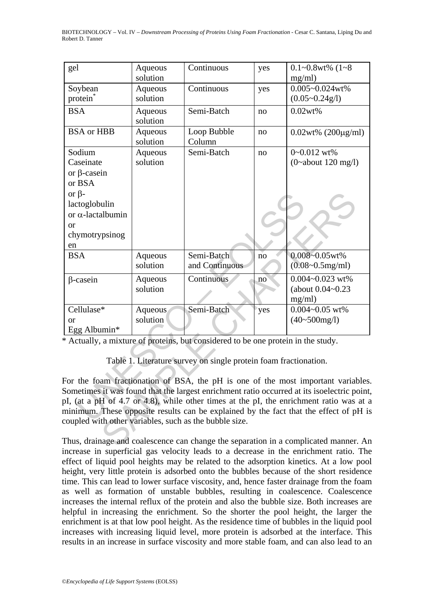| gel                                                                                         | Aqueous             | Continuous                                                                        | yes | $0.1 - 0.8$ wt% $(1 - 8)$  |  |  |  |
|---------------------------------------------------------------------------------------------|---------------------|-----------------------------------------------------------------------------------|-----|----------------------------|--|--|--|
|                                                                                             | solution            |                                                                                   |     | mg/ml)                     |  |  |  |
| Soybean                                                                                     | Aqueous             | Continuous                                                                        | yes | $0.005 - 0.024$ wt%        |  |  |  |
| protein                                                                                     | solution            |                                                                                   |     | $(0.05 \sim 0.24g/l)$      |  |  |  |
| <b>BSA</b>                                                                                  | Aqueous<br>solution | Semi-Batch                                                                        | no  | 0.02wt%                    |  |  |  |
| <b>BSA</b> or HBB                                                                           | Aqueous             | Loop Bubble                                                                       | no  | $0.02wt%$ (200 $\mu$ g/ml) |  |  |  |
|                                                                                             | solution            | Column                                                                            |     |                            |  |  |  |
| Sodium                                                                                      | Aqueous             | Semi-Batch                                                                        | no  | 0~0.012 wt%                |  |  |  |
| Caseinate                                                                                   | solution            |                                                                                   |     | $(0 \sim$ about 120 mg/l)  |  |  |  |
| or $\beta$ -casein                                                                          |                     |                                                                                   |     |                            |  |  |  |
| or BSA                                                                                      |                     |                                                                                   |     |                            |  |  |  |
| or $\beta$ -                                                                                |                     |                                                                                   |     |                            |  |  |  |
| lactoglobulin                                                                               |                     |                                                                                   |     |                            |  |  |  |
| or $\alpha$ -lactalbumin                                                                    |                     |                                                                                   |     |                            |  |  |  |
| <b>or</b>                                                                                   |                     |                                                                                   |     |                            |  |  |  |
| chymotrypsinog                                                                              |                     |                                                                                   |     |                            |  |  |  |
| en                                                                                          |                     |                                                                                   |     |                            |  |  |  |
| <b>BSA</b>                                                                                  | Aqueous             | Semi-Batch                                                                        | no  | $0.008 - 0.05$ wt%         |  |  |  |
|                                                                                             | solution            | and Continuous                                                                    |     | $(0.08 - 0.5$ mg/ml)       |  |  |  |
| $\beta$ -casein                                                                             | Aqueous             | Continuous                                                                        | no  | $0.004 - 0.023$ wt%        |  |  |  |
|                                                                                             | solution            |                                                                                   |     | (about $0.04 - 0.23$ )     |  |  |  |
|                                                                                             |                     |                                                                                   |     | mg/ml)                     |  |  |  |
| Cellulase <sup>*</sup>                                                                      | <b>Aqueous</b>      | Semi-Batch                                                                        | yes | $0.004 - 0.05$ wt%         |  |  |  |
| <sub>or</sub>                                                                               | solution            |                                                                                   |     | $(40~500$ mg/l)            |  |  |  |
| Egg Albumin*                                                                                |                     |                                                                                   |     |                            |  |  |  |
|                                                                                             |                     | * Actually, a mixture of proteins, but considered to be one protein in the study. |     |                            |  |  |  |
|                                                                                             |                     |                                                                                   |     |                            |  |  |  |
| Table 1. Literature survey on single protein foam fractionation.                            |                     |                                                                                   |     |                            |  |  |  |
|                                                                                             |                     |                                                                                   |     |                            |  |  |  |
| For the foam fractionation of BSA, the pH is one of the most important variables.           |                     |                                                                                   |     |                            |  |  |  |
| Sometimes it was found that the largest enrichment ratio occurred at its isoelectric point, |                     |                                                                                   |     |                            |  |  |  |
| pI, (at a pH of 4.7 or 4.8), while other times at the pI, the enrichment ratio was at a     |                     |                                                                                   |     |                            |  |  |  |
| minimum. These opposite results can be explained by the fact that the effect of pH is       |                     |                                                                                   |     |                            |  |  |  |
| coupled with other variables, such as the bubble size.                                      |                     |                                                                                   |     |                            |  |  |  |
|                                                                                             |                     |                                                                                   |     |                            |  |  |  |
| Thus, drainage and coalescence can change the separation in a complicated manner. An        |                     |                                                                                   |     |                            |  |  |  |

Thus, drainage and coalescence can change the separation in a complicated manner. An increase in superficial gas velocity leads to a decrease in the enrichment ratio. The effect of liquid pool heights may be related to the adsorption kinetics. At a low pool height, very little protein is adsorbed onto the bubbles because of the short residence time. This can lead to lower surface viscosity, and, hence faster drainage from the foam as well as formation of unstable bubbles, resulting in coalescence. Coalescence increases the internal reflux of the protein and also the bubble size. Both increases are helpful in increasing the enrichment. So the shorter the pool height, the larger the enrichment is at that low pool height. As the residence time of bubbles in the liquid pool increases with increasing liquid level, more protein is adsorbed at the interface. This results in an increase in surface viscosity and more stable foam, and can also lead to an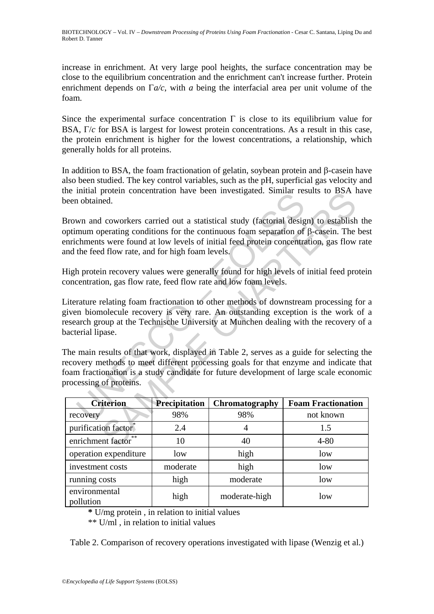increase in enrichment. At very large pool heights, the surface concentration may be close to the equilibrium concentration and the enrichment can't increase further. Protein enrichment depends on Γ*a/c*, with *a* being the interfacial area per unit volume of the foam.

Since the experimental surface concentration  $\Gamma$  is close to its equilibrium value for BSA, Γ/*c* for BSA is largest for lowest protein concentrations. As a result in this case, the protein enrichment is higher for the lowest concentrations, a relationship, which generally holds for all proteins.

In addition to BSA, the foam fractionation of gelatin, soybean protein and β-casein have also been studied. The key control variables, such as the pH, superficial gas velocity and the initial protein concentration have been investigated. Similar results to BSA have been obtained.

| ne iniual protein concentration nave been investigated. Similar results to DSA have<br>been obtained.                                                                                                                                                                                                                                                                                                                                                                                                                                                                                              |               |                |                           |  |  |  |  |
|----------------------------------------------------------------------------------------------------------------------------------------------------------------------------------------------------------------------------------------------------------------------------------------------------------------------------------------------------------------------------------------------------------------------------------------------------------------------------------------------------------------------------------------------------------------------------------------------------|---------------|----------------|---------------------------|--|--|--|--|
| Brown and coworkers carried out a statistical study (factorial design) to establish the<br>optimum operating conditions for the continuous foam separation of $\beta$ -casein. The bes<br>enrichments were found at low levels of initial feed protein concentration, gas flow rate<br>and the feed flow rate, and for high foam levels.                                                                                                                                                                                                                                                           |               |                |                           |  |  |  |  |
| High protein recovery values were generally found for high levels of initial feed protein<br>concentration, gas flow rate, feed flow rate and low foam levels.                                                                                                                                                                                                                                                                                                                                                                                                                                     |               |                |                           |  |  |  |  |
| Literature relating foam fractionation to other methods of downstream processing for a<br>given biomolecule recovery is very rare. An outstanding exception is the work of a<br>esearch group at the Technische University at Munchen dealing with the recovery of a<br>bacterial lipase.<br>The main results of that work, displayed in Table 2, serves as a guide for selecting the<br>ecovery methods to meet different processing goals for that enzyme and indicate that<br>foam fractionation is a study candidate for future development of large scale economic<br>processing of proteins. |               |                |                           |  |  |  |  |
| <b>Criterion</b>                                                                                                                                                                                                                                                                                                                                                                                                                                                                                                                                                                                   | Precipitation | Chromatography | <b>Foam Fractionation</b> |  |  |  |  |
| recovery                                                                                                                                                                                                                                                                                                                                                                                                                                                                                                                                                                                           | 98%           | 98%            | not known                 |  |  |  |  |
| purification factor <sup>*</sup>                                                                                                                                                                                                                                                                                                                                                                                                                                                                                                                                                                   | 2.4           | 4              | 1.5                       |  |  |  |  |
| enrichment factor                                                                                                                                                                                                                                                                                                                                                                                                                                                                                                                                                                                  | 10            | 40             | $4 - 80$                  |  |  |  |  |
| operation expenditure                                                                                                                                                                                                                                                                                                                                                                                                                                                                                                                                                                              | low           | high           | low                       |  |  |  |  |
| investment costs                                                                                                                                                                                                                                                                                                                                                                                                                                                                                                                                                                                   | moderate      | high           | low                       |  |  |  |  |
| running costs                                                                                                                                                                                                                                                                                                                                                                                                                                                                                                                                                                                      | high          | moderate       | low                       |  |  |  |  |
| environmental<br>pollution                                                                                                                                                                                                                                                                                                                                                                                                                                                                                                                                                                         | high          | moderate-high  | low                       |  |  |  |  |

**\*** U/mg protein , in relation to initial values

\*\* U/ml , in relation to initial values

Table 2. Comparison of recovery operations investigated with lipase (Wenzig et al.)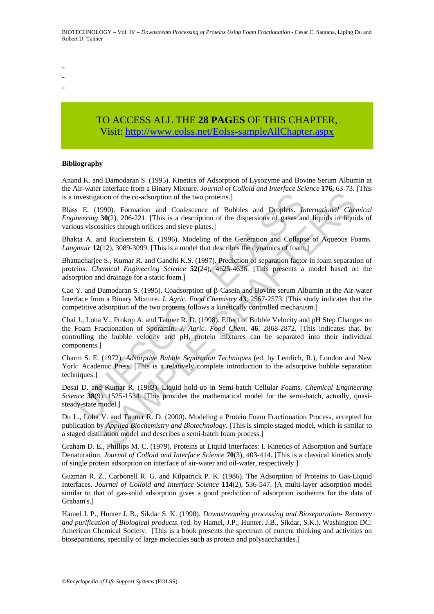-

- -

# TO ACCESS ALL THE **28 PAGES** OF THIS CHAPTER, Visit[: http://www.eolss.net/Eolss-sampleAllChapter.aspx](https://www.eolss.net/ebooklib/sc_cart.aspx?File=E6-58-04-03)

#### **Bibliography**

Anand K. and Damodaran S. (1995). Kinetics of Adsorption of Lysozyme and Bovine Serum Albumin at the Air-water Interface from a Binary Mixture. *Journal of Colloid and Interface Science* **176,** 63-73. [This is a investigation of the co-adsorption of the two proteins.]

Blass E. (1990). Formation and Coalescence of Bubbles and Droplets. *International Chemical Engineering* **30(**2), 206-221. [This is a description of the dispersions of gases and liquids in liquids of various viscosities through orifices and sieve plates.]

Bhakta A. and Ruckenstein E. (1996). Modeling of the Generation and Collapse of Aqueous Foams. *Langmuir* **12**(12), 3089-3099. [This is a model that describes the dynamics of foam.]

Bhattacharjee S., Kumar R. and Gandhi K.S. (1997). Prediction of separation factor in foam separation of proteins. *Chemical Engineering Science* **52(**24), 4625-4636. [This presents a model based on the adsorption and drainage for a static foam.]

Cao Y. and Damodaran S. (1995). Coadsorption of β-Casein and Bovine serum Albumin at the Air-water Interface from a Binary Mixture. *J. Agric. Food Chemistry* **43**, 2567-2573. [This study indicates that the competitive adsorption of the two proteins follows a kinetically controlled mechanism.]

nvestigation of the co-adsorption of the two proteins.]<br>
E. (1990). Formation and Coalescence of Bubbles and Droplets. *Inneering* **30**(2), 206-221. [This is a description of the dispersions of gases an<br>
us viscosities thr mentale condition of the two proteins. If the discrete and a major state of the co-adsorption of the two proteins.]<br>
990). Formation and Coalescence of Bubbles and Droplets. *International Cherations* of subsects through o Chai J., Loha V., Prokop A. and Tanner R. D. (1998). Effect of Bubble Velocity and pH Step Changes on the Foam Fractionation of Sporamin. *J. Agric. Food Chem.* **46**, 2868-2872. [This indicates that, by controlling the bubble velocity and pH, protein mixtures can be separated into their individual components.]

Charm S. E. (1972). *Adsorptive Bubble Separation Techniques* (ed. by Lemlich, R.), London and New York: Academic Press. [This is a relatively complete introduction to the adsorptive bubble separation techniques.]

Desai D. and Kumar R. (1983). Liquid hold-up in Semi-batch Cellular Foams. *Chemical Engineering Science* **38**(9), 1525-1534. [This provides the mathematical model for the semi-batch, actually, quasisteady-state model.]

Du L., Loha V. and Tanner R. D. (2000). Modeling a Protein Foam Fractionation Process, accepted for publication by *Applied Biochemistry and Biotechnology*. [This is simple staged model, which is similar to a staged distillation model and describes a semi-batch foam process.]

Graham D. E., Phillips M. C. (1979). Proteins at Liquid Interfaces: I. Kinetics of Adsorption and Surface Denaturation. *Journal of Colloid and Interface Science* **70**(3), 403-414. [This is a classical kinetics study of single protein adsorption on interface of air-water and oil-water, respectively.]

Guzman R. Z., Carbonell R. G. and Kilpatrick P. K. (1986). The Adsorption of Proteins to Gas-Liquid Interfaces. *Journal of Colloid and Interface Science* **114**(2), 536-547. [A multi-layer adsorption model similar to that of gas-solid adsorption gives a good prediction of adsorption isotherms for the data of Graham's.]

Hamel J. P., Hunter J. B., Sikdar S. K. (1990). *Downstreaming processing and Bioseparation- Recovery and purification of Biological products.* (ed. by Hamel, J.P., Hunter, J.B., Sikdar, S.K.). Washington DC: American Chemical Society. [This is a book presents the spectrum of current thinking and activities on bioseparations, specially of large molecules such as protein and polysaccharides.]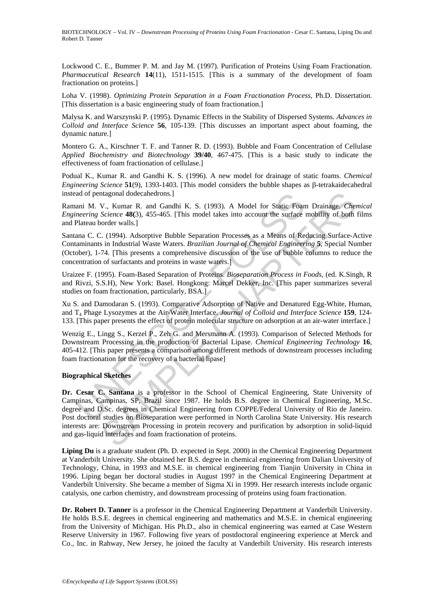BIOTECHNOLOGY - Vol. IV - *Downstream Processing of Proteins Using Foam Fractionation* - Cesar C. Santana, Liping Du and Robert D. Tanner

Lockwood C. E., Bummer P. M. and Jay M. (1997). Purification of Proteins Using Foam Fractionation. *Pharmaceutical Research* **14**(11), 1511-1515. [This is a summary of the development of foam fractionation on proteins.]

Loha V. (1998). *Optimizing Protein Separation in a Foam Fractionation Process*, Ph.D. Dissertation. [This dissertation is a basic engineering study of foam fractionation.]

Malysa K. and Warszynski P. (1995). Dynamic Effects in the Stability of Dispersed Systems. *Advances in Colloid and Interface Science* **56**, 105-139. [This discusses an important aspect about foaming, the dynamic nature.]

Montero G. A., Kirschner T. F. and Tanner R. D. (1993). Bubble and Foam Concentration of Cellulase *Applied Biochemistry and Biotechnology* **39/40**, 467-475. [This is a basic study to indicate the effectiveness of foam fractionation of cellulase.]

Podual K., Kumar R. and Gandhi K. S. (1996). A new model for drainage of static foams. *Chemical Engineering Science* **51**(9), 1393-1403. [This model considers the bubble shapes as β-tetrakaidecahedral instead of pentagonal dodecahedrons.]

Ramani M. V., Kumar R. and Gandhi K. S. (1993). A Model for Static Foam Drainage. *Chemical Engineering Science* **48(**3), 455-465. [This model takes into account the surface mobility of both films and Plateau border walls.]

Santana C. C. (1994). Adsorptive Bubble Separation Processes as a Means of Reducing Surface-Active Contaminants in Industrial Waste Waters. *Brazilian Journal of Chemical Engineering* **5**, Special Number (October), 1-74. [This presents a comprehensive discussion of the use of bubble columns to reduce the concentration of surfactants and proteins in waste waters.]

Uraizee F. (1995). Foam-Based Separation of Proteins. *Bioseparation Process in Foods,* (ed. K.Singh, R and Rivzi, S.S.H), New York: Basel. Hongkong: Marcel Dekker, Inc. [This paper summarizes several studies on foam fractionation, particularly, BSA.]

Xu S. and Damodaran S. (1993). Comparative Adsorption of Native and Denatured Egg-White, Human, and T4 Phage Lysozymes at the Air-Water Interface. *Journal of Colloid and Interface Science* **159**, 124- 133. [This paper presents the effect of protein molecular structure on adsorption at an air-water interface.]

Wenzig E., Lingg S., Kerzel P., Zeh G. and Mersmann A. (1993). Comparison of Selected Methods for Downstream Processing in the production of Bacterial Lipase. *Chemical Engineering Technology* **16**, 405-412. [This paper presents a comparison among different methods of downstream processes including foam fractionation for the recovery of a bacterial lipase]

#### **Biographical Sketches**

ad of pentagonal dodecahedrons.]<br>
ani M. V., Kumar R. and Gandhi K. S. (1993). A Model for Static Foamerring Science 48(3), 455-465. [This model takes into account the surface<br>
Plateau border walls.]<br>
ana C. C. (1994). Ads ntagonal dodecahedrons.]<br>V., Kumar R. and Gandhi K. S. (1993). A Model for Static Foam Drainage. *Chese Science* **48**(3), 455-465. [This model takes into account the surface modifity of both order walls.]<br> *Science* **48**(3 **Dr. Cesar C. Santana** is a professor in the School of Chemical Engineering, State University of Campinas, Campinas, SP, Brazil since 1987. He holds B.S. degree in Chemical Engineering, M.Sc. degree and D.Sc. degrees in Chemical Engineering from COPPE/Federal University of Rio de Janeiro. Post doctoral studies on Bioseparation were performed in North Carolina State University. His research interests are: Downstream Processing in protein recovery and purification by adsorption in solid-liquid and gas-liquid interfaces and foam fractionation of proteins.

**Liping Du** is a graduate student (Ph. D. expected in Sept. 2000) in the Chemical Engineering Department at Vanderbilt University. She obtained her B.S. degree in chemical engineering from Dalian University of Technology, China, in 1993 and M.S.E. in chemical engineering from Tianjin University in China in 1996. Liping began her doctoral studies in August 1997 in the Chemical Engineering Department at Vanderbilt University. She became a member of Sigma Xi in 1999. Her research interests include organic catalysis, one carbon chemistry, and downstream processing of proteins using foam fractionation.

**Dr. Robert D. Tanner** is a professor in the Chemical Engineering Department at Vanderbilt University. He holds B.S.E. degrees in chemical engineering and mathematics and M.S.E. in chemical engineering from the University of Michigan. His Ph.D., also in chemical engineering was earned at Case Western Reserve University in 1967. Following five years of postdoctoral engineering experience at Merck and Co., Inc. in Rahway, New Jersey, he joined the faculty at Vanderbilt University. His research interests